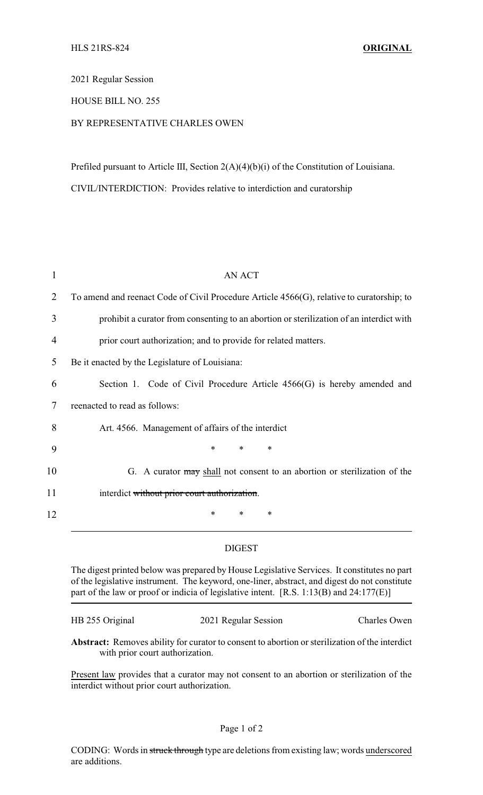2021 Regular Session

## HOUSE BILL NO. 255

## BY REPRESENTATIVE CHARLES OWEN

Prefiled pursuant to Article III, Section 2(A)(4)(b)(i) of the Constitution of Louisiana.

CIVIL/INTERDICTION: Provides relative to interdiction and curatorship

| To amend and reenact Code of Civil Procedure Article $4566(G)$ , relative to curatorship; to |
|----------------------------------------------------------------------------------------------|
| prohibit a curator from consenting to an abortion or sterilization of an interdict with      |
| prior court authorization; and to provide for related matters.                               |
| Be it enacted by the Legislature of Louisiana:                                               |
| Section 1. Code of Civil Procedure Article 4566(G) is hereby amended and                     |
| reenacted to read as follows:                                                                |
| Art. 4566. Management of affairs of the interdict                                            |
| $\ast$<br>*<br>$\ast$                                                                        |
| G. A curator may shall not consent to an abortion or sterilization of the                    |
| interdict without prior court authorization.                                                 |
| *<br>*<br>*                                                                                  |
|                                                                                              |

## DIGEST

The digest printed below was prepared by House Legislative Services. It constitutes no part of the legislative instrument. The keyword, one-liner, abstract, and digest do not constitute part of the law or proof or indicia of legislative intent. [R.S. 1:13(B) and 24:177(E)]

| HB 255 Original | 2021 Regular Session | Charles Owen |
|-----------------|----------------------|--------------|
|                 |                      |              |

**Abstract:** Removes ability for curator to consent to abortion or sterilization of the interdict with prior court authorization.

Present law provides that a curator may not consent to an abortion or sterilization of the interdict without prior court authorization.